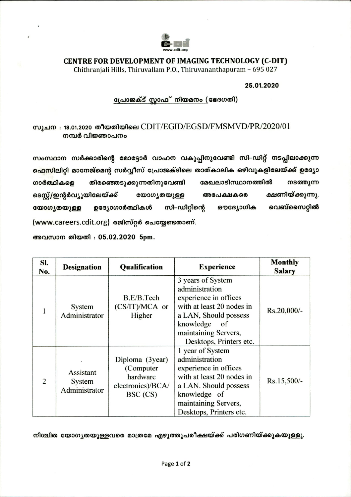

## CENTRE FOR DEVELOPMENT OF IMAGING TECHNOLOGY (C-DIT)

Chithranjali Hills, Thiruvallam P.O., Thiruvananthapuram - 695 027

## 25.01.2020

## പ്രോജക്ട് സ്റ്റാഫ് നിയമനം (ഭേദഗതി)

## സൂചന : 18.01.2020 തീയതിയിലെ  $CDIT/EGID/EGSD/FMSMVD/PR/2020/01$ നമ്പർ വിജ്ഞാപനം

സംസ്ഥാന സർക്കാരിന്റെ മോട്ടോർ വാഹന വകുപ്പിനുവേണ്ടി സി–ഡിറ്റ് നടപ്പിലാക്കുന്ന ഫെസിലിറ്റി മാനേജ്മെന്റ സർവ്വീസ് പ്രോജക്ടിലെ താത്കാലിക ഒഴിവുകളിലേയ്ക്ക് ഉദ്യോ മേഖലാടിസ്ഥാനത്തിൽ തിരഞ്ഞെടുക്കുന്നതിനുവേണ്ടി നടത്തുന്ന ഗാർത്ഥികളെ ക്ഷണിയ്ക്കുന്നു. ടെസ്റ്റ്/ഇന്റർവ്യൂയിലേയ്ക്ക് യോഗ്യതയുള്ള അപേക്ഷകരെ വെബ്സൈറ്റിൽ സി–ഡിറ്റിന്റെ യോഗൃതയുള്ള ഉദ്യോഗാർത്ഥികൾ ഔദ്യോഗിക (www.careers.cdit.org) രജിസ്റ്റർ ചെയ്യേണ്ടതാണ്.

അവസാന തിയതി : 05.02.2020 5pm.

| SI.<br>No. | <b>Designation</b>                   | <b>Qualification</b>                                                       | <b>Experience</b>                                                                                                                                                                        | <b>Monthly</b><br><b>Salary</b> |
|------------|--------------------------------------|----------------------------------------------------------------------------|------------------------------------------------------------------------------------------------------------------------------------------------------------------------------------------|---------------------------------|
| 1          | System<br>Administrator              | B.E/B.Tech<br>$(CS/IT)/MCA$ or<br>Higher                                   | 3 years of System<br>administration<br>experience in offices<br>with at least 20 nodes in<br>a LAN, Should possess<br>knowledge<br>of<br>maintaining Servers,<br>Desktops, Printers etc. | Rs.20,000/-                     |
| 2          | Assistant<br>System<br>Administrator | Diploma (3year)<br>(Computer)<br>hardware<br>electronics)/BCA/<br>BSC (CS) | 1 year of System<br>administration<br>experience in offices<br>with at least 20 nodes in<br>a LAN. Should possess<br>knowledge of<br>maintaining Servers,<br>Desktops, Printers etc.     |                                 |

നിശ്ചിത യോഗൃതയുള്ളവരെ മാത്രമേ എഴുത്തുപരീക്ഷയ്ക്ക് പരിഗണിയ്ക്കുകയുള്ളൂ.